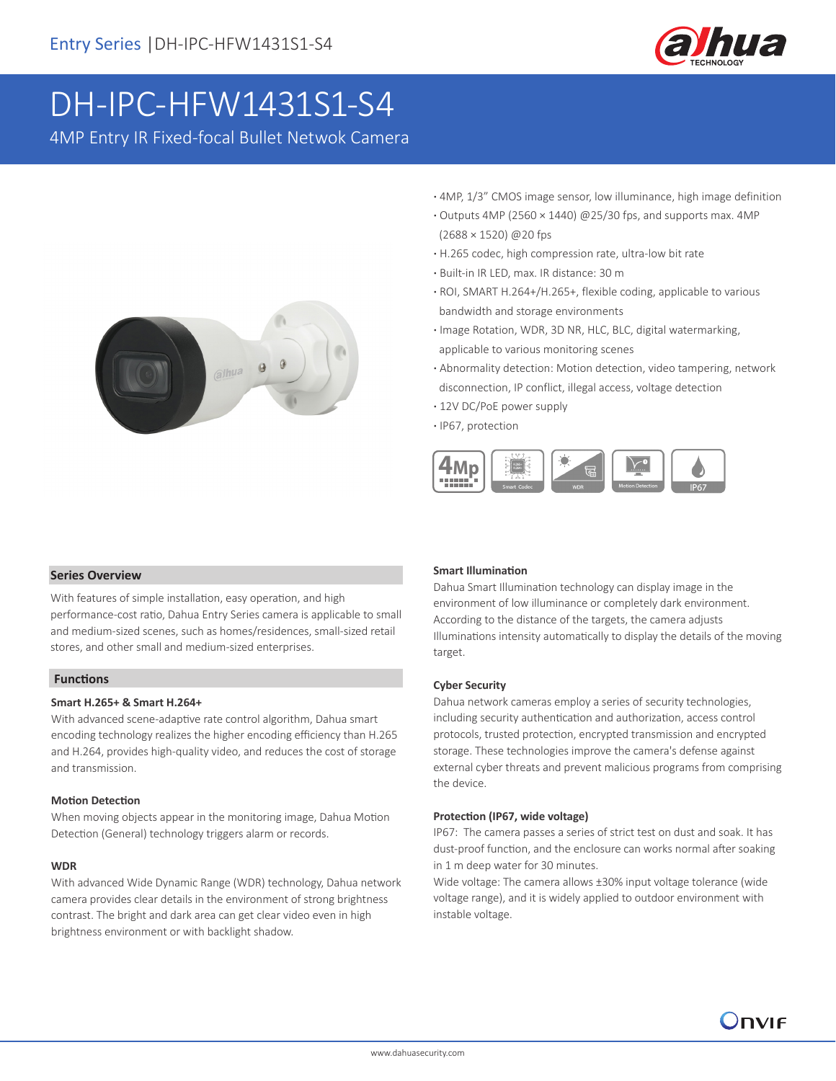

# DH-IPC-HFW1431S1-S4

4MP Entry IR Fixed-focal Bullet Netwok Camera



- **·** 4MP, 1/3" CMOS image sensor, low illuminance, high image definition
- **·** Outputs 4MP (2560 × 1440) @25/30 fps, and supports max. 4MP (2688 × 1520) @20 fps
- **·** H.265 codec, high compression rate, ultra-low bit rate
- **·** Built-in IR LED, max. IR distance: 30 m
- **·** ROI, SMART H.264+/H.265+, flexible coding, applicable to various bandwidth and storage environments
- **·** Image Rotation, WDR, 3D NR, HLC, BLC, digital watermarking, applicable to various monitoring scenes
- **·** Abnormality detection: Motion detection, video tampering, network disconnection, IP conflict, illegal access, voltage detection
- **·** 12V DC/PoE power supply
- **·** IP67, protection



# **Series Overview**

With features of simple installation, easy operation, and high performance-cost ratio, Dahua Entry Series camera is applicable to small and medium-sized scenes, such as homes/residences, small-sized retail stores, and other small and medium-sized enterprises.

# **Functions**

#### **Smart H.265+ & Smart H.264+**

With advanced scene-adaptive rate control algorithm, Dahua smart encoding technology realizes the higher encoding efficiency than H.265 and H.264, provides high-quality video, and reduces the cost of storage and transmission.

#### **Motion Detection**

When moving objects appear in the monitoring image, Dahua Motion Detection (General) technology triggers alarm or records.

#### **WDR**

With advanced Wide Dynamic Range (WDR) technology, Dahua network camera provides clear details in the environment of strong brightness contrast. The bright and dark area can get clear video even in high brightness environment or with backlight shadow.

#### **Smart Illumination**

Dahua Smart Illumination technology can display image in the environment of low illuminance or completely dark environment. According to the distance of the targets, the camera adjusts Illuminations intensity automatically to display the details of the moving target.

#### **Cyber Security**

Dahua network cameras employ a series of security technologies, including security authentication and authorization, access control protocols, trusted protection, encrypted transmission and encrypted storage. These technologies improve the camera's defense against external cyber threats and prevent malicious programs from comprising the device.

#### **Protection (IP67, wide voltage)**

IP67: The camera passes a series of strict test on dust and soak. It has dust-proof function, and the enclosure can works normal after soaking in 1 m deep water for 30 minutes.

Wide voltage: The camera allows ±30% input voltage tolerance (wide voltage range), and it is widely applied to outdoor environment with instable voltage.

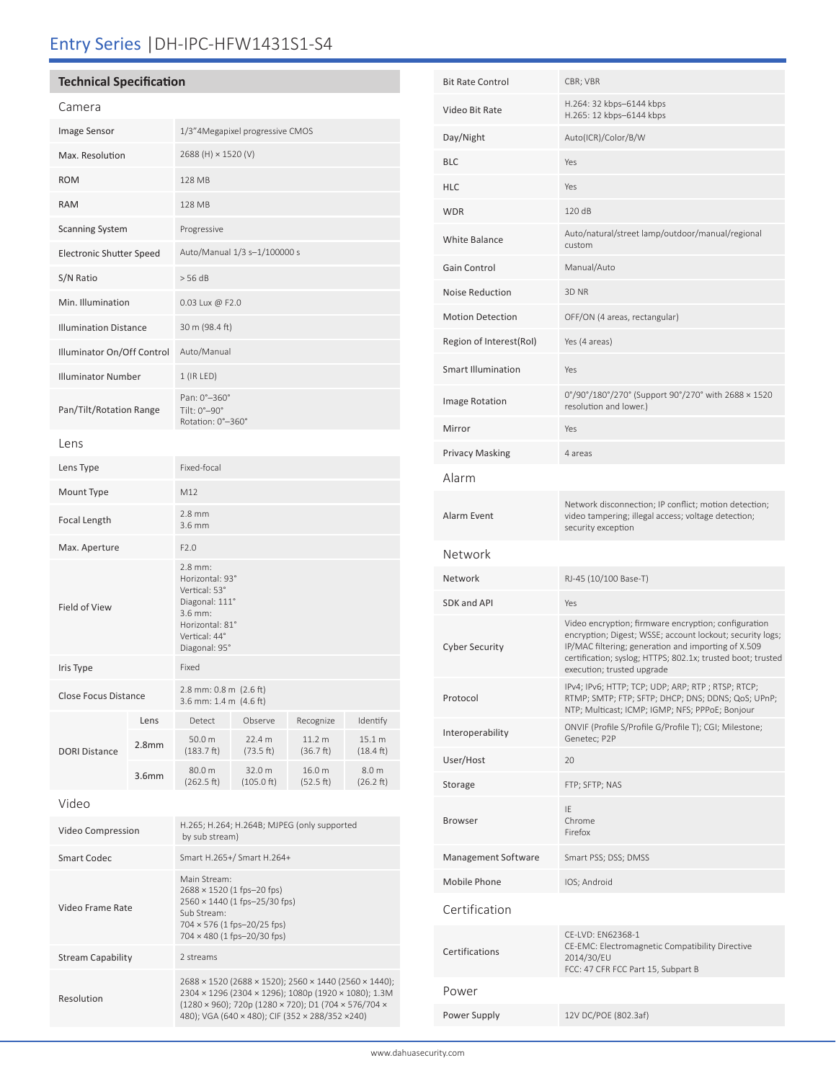# Entry Series |DH-IPC-HFW1431S1-S4

# **Technical Specification**

Resolution

| Camera                          |                   |                                                                                                                                                          |                                |                     |                               |  |
|---------------------------------|-------------------|----------------------------------------------------------------------------------------------------------------------------------------------------------|--------------------------------|---------------------|-------------------------------|--|
| Image Sensor                    |                   | 1/3"4Megapixel progressive CMOS                                                                                                                          |                                |                     |                               |  |
| Max. Resolution                 |                   | 2688 (H) × 1520 (V)                                                                                                                                      |                                |                     |                               |  |
| <b>ROM</b>                      |                   | 128 MB                                                                                                                                                   |                                |                     |                               |  |
| <b>RAM</b>                      |                   | 128 MB                                                                                                                                                   |                                |                     |                               |  |
| <b>Scanning System</b>          |                   | Progressive                                                                                                                                              |                                |                     |                               |  |
| <b>Electronic Shutter Speed</b> |                   | Auto/Manual 1/3 s-1/100000 s                                                                                                                             |                                |                     |                               |  |
| S/N Ratio                       |                   | > 56 dB                                                                                                                                                  |                                |                     |                               |  |
| Min. Illumination               |                   | 0.03 Lux @ F2.0                                                                                                                                          |                                |                     |                               |  |
| <b>Illumination Distance</b>    |                   | 30 m (98.4 ft)                                                                                                                                           |                                |                     |                               |  |
| Illuminator On/Off Control      |                   | Auto/Manual                                                                                                                                              |                                |                     |                               |  |
| <b>Illuminator Number</b>       |                   | 1 (IR LED)                                                                                                                                               |                                |                     |                               |  |
| Pan/Tilt/Rotation Range         |                   | Pan: 0°-360°<br>Tilt: 0°–90°<br>Rotation: 0°-360°                                                                                                        |                                |                     |                               |  |
| lens                            |                   |                                                                                                                                                          |                                |                     |                               |  |
| Lens Type                       |                   | Fixed-focal                                                                                                                                              |                                |                     |                               |  |
| Mount Type                      |                   | M12                                                                                                                                                      |                                |                     |                               |  |
| Focal Length                    |                   | $2.8$ mm<br>$3.6$ mm                                                                                                                                     |                                |                     |                               |  |
| Max. Aperture                   |                   | F2.0                                                                                                                                                     |                                |                     |                               |  |
| Field of View                   |                   | $2.8$ mm:<br>Horizontal: 93°<br>Vertical: 53°<br>Diagonal: 111°<br>3.6 mm:<br>Horizontal: 81°<br>Vertical: 44°<br>Diagonal: 95°                          |                                |                     |                               |  |
| Iris Type                       |                   | Fixed                                                                                                                                                    |                                |                     |                               |  |
| <b>Close Focus Distance</b>     |                   | 2.8 mm: 0.8 m (2.6 ft)<br>3.6 mm: 1.4 m (4.6 ft)                                                                                                         |                                |                     |                               |  |
|                                 | Lens              | Detect                                                                                                                                                   | Observe                        | Recognize           | Identify                      |  |
| <b>DORI Distance</b>            | 2.8 <sub>mm</sub> | 50.0 m<br>(183.7 ft)                                                                                                                                     | 22.4 m<br>(73.5 ft)            | 11.2 m<br>(36.7 ft) | 15.1 m<br>$(18.4 \text{ ft})$ |  |
|                                 | 3.6 <sub>mm</sub> | 80.0 m<br>(262.5 ft)                                                                                                                                     | 32.0 m<br>$(105.0 \text{ ft})$ | 16.0 m<br>(52.5 ft) | 8.0 m<br>(26.2 ft)            |  |
| Video                           |                   |                                                                                                                                                          |                                |                     |                               |  |
| Video Compression               |                   | H.265; H.264; H.264B; MJPEG (only supported<br>by sub stream)                                                                                            |                                |                     |                               |  |
| Smart Codec                     |                   | Smart H.265+/ Smart H.264+                                                                                                                               |                                |                     |                               |  |
| Video Frame Rate                |                   | Main Stream:<br>2688 × 1520 (1 fps-20 fps)<br>2560 × 1440 (1 fps-25/30 fps)<br>Sub Stream:<br>704 × 576 (1 fps-20/25 fps)<br>704 × 480 (1 fps-20/30 fps) |                                |                     |                               |  |
| <b>Stream Capability</b>        |                   | 2 streams                                                                                                                                                |                                |                     |                               |  |
|                                 |                   | 2688 × 1520 (2688 × 1520); 2560 × 1440 (2560 × 1440);                                                                                                    |                                |                     |                               |  |

| <b>Bit Rate Control</b> | CBR; VBR                                                                                                                                                                                                                                                              |  |  |
|-------------------------|-----------------------------------------------------------------------------------------------------------------------------------------------------------------------------------------------------------------------------------------------------------------------|--|--|
| Video Bit Rate          | H.264: 32 kbps-6144 kbps<br>H.265: 12 kbps-6144 kbps                                                                                                                                                                                                                  |  |  |
| Day/Night               | Auto(ICR)/Color/B/W                                                                                                                                                                                                                                                   |  |  |
| BLC                     | Yes                                                                                                                                                                                                                                                                   |  |  |
| HLC                     | Yes                                                                                                                                                                                                                                                                   |  |  |
| <b>WDR</b>              | 120 dB                                                                                                                                                                                                                                                                |  |  |
| White Balance           | Auto/natural/street lamp/outdoor/manual/regional<br>custom                                                                                                                                                                                                            |  |  |
| Gain Control            | Manual/Auto                                                                                                                                                                                                                                                           |  |  |
| Noise Reduction         | 3D <sub>NR</sub>                                                                                                                                                                                                                                                      |  |  |
| <b>Motion Detection</b> | OFF/ON (4 areas, rectangular)                                                                                                                                                                                                                                         |  |  |
| Region of Interest(RoI) | Yes (4 areas)                                                                                                                                                                                                                                                         |  |  |
| Smart Illumination      | Yes                                                                                                                                                                                                                                                                   |  |  |
| Image Rotation          | 0°/90°/180°/270° (Support 90°/270° with 2688 × 1520<br>resolution and lower.)                                                                                                                                                                                         |  |  |
| Mirror                  | Yes                                                                                                                                                                                                                                                                   |  |  |
| Privacy Masking         | 4 areas                                                                                                                                                                                                                                                               |  |  |
| Alarm                   |                                                                                                                                                                                                                                                                       |  |  |
| Alarm Event             | Network disconnection; IP conflict; motion detection;<br>video tampering; illegal access; voltage detection;<br>security exception                                                                                                                                    |  |  |
| Network                 |                                                                                                                                                                                                                                                                       |  |  |
| Network                 | RJ-45 (10/100 Base-T)                                                                                                                                                                                                                                                 |  |  |
| <b>SDK and API</b>      | Yes                                                                                                                                                                                                                                                                   |  |  |
| Cyber Security          | Video encryption; firmware encryption; configuration<br>encryption; Digest; WSSE; account lockout; security logs;<br>IP/MAC filtering; generation and importing of X.509<br>certification; syslog; HTTPS; 802.1x; trusted boot; trusted<br>execution; trusted upgrade |  |  |
| Protocol                | IPv4; IPv6; HTTP; TCP; UDP; ARP; RTP; RTSP; RTCP;<br>RTMP; SMTP; FTP; SFTP; DHCP; DNS; DDNS; QoS; UPnP;<br>NTP; Multicast; ICMP; IGMP; NFS; PPPoE; Bonjour                                                                                                            |  |  |
| Interoperability        | ONVIF (Profile S/Profile G/Profile T); CGI; Milestone;<br>Genetec; P2P                                                                                                                                                                                                |  |  |
| User/Host               | 20                                                                                                                                                                                                                                                                    |  |  |
| Storage                 | FTP; SFTP; NAS                                                                                                                                                                                                                                                        |  |  |
| Browser                 | IE<br>Chrome<br>Firefox                                                                                                                                                                                                                                               |  |  |
| Management Software     | Smart PSS; DSS; DMSS                                                                                                                                                                                                                                                  |  |  |
| Mobile Phone            | IOS; Android                                                                                                                                                                                                                                                          |  |  |
| Certification           |                                                                                                                                                                                                                                                                       |  |  |
| Certifications          | CE-LVD: EN62368-1<br>CE-EMC: Electromagnetic Compatibility Directive<br>2014/30/EU<br>FCC: 47 CFR FCC Part 15, Subpart B                                                                                                                                              |  |  |
| Power                   |                                                                                                                                                                                                                                                                       |  |  |
| Power Supply            | 12V DC/POE (802.3af)                                                                                                                                                                                                                                                  |  |  |

2304 × 1296 (2304 × 1296); 1080p (1920 × 1080); 1.3M (1280 × 960); 720p (1280 × 720); D1 (704 × 576/704 × 480); VGA (640 × 480); CIF (352 × 288/352 ×240)